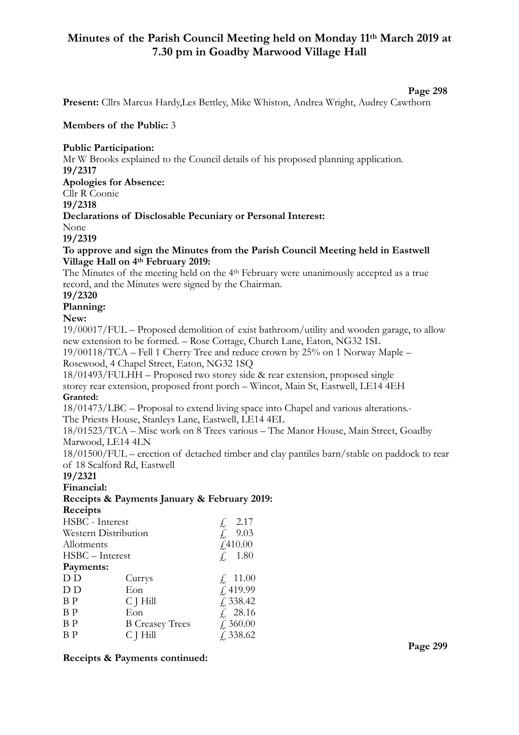# **Minutes of the Parish Council Meeting held on Monday 11th March 2019 at 7.30 pm in Goadby Marwood Village Hall**

#### **Page 298**

**Present:** Cllrs Marcus Hardy,Les Bettley, Mike Whiston, Andrea Wright, Audrey Cawthorn

#### **Members of the Public:** 3

#### **Public Participation:**

Mr W Brooks explained to the Council details of his proposed planning application. **19/2317** 

**Apologies for Absence:** 

Cllr R Coonie

**19/2318** 

### **Declarations of Disclosable Pecuniary or Personal Interest:**

None

### **19/2319**

#### **To approve and sign the Minutes from the Parish Council Meeting held in Eastwell Village Hall on 4th February 2019:**

The Minutes of the meeting held on the 4th February were unanimously accepted as a true record, and the Minutes were signed by the Chairman.

### **19/2320**

# **Planning:**

**New:** 

19/00017/FUL – Proposed demolition of exist bathroom/utility and wooden garage, to allow new extension to be formed. – Rose Cottage, Church Lane, Eaton, NG32 1SL

19/00118/TCA – Fell 1 Cherry Tree and reduce crown by 25% on 1 Norway Maple – Rosewood, 4 Chapel Street, Eaton, NG32 1SQ

18/01493/FULHH – Proposed two storey side & rear extension, proposed single storey rear extension, proposed front porch – Wincot, Main St, Eastwell, LE14 4EH **Granted:**

18/01473/LBC – Proposal to extend living space into Chapel and various alterations.- The Priests House, Stanleys Lane, Eastwell, LE14 4EL

 $f = 1.80$ 

18/01523/TCA – Misc work on 8 Trees various – The Manor House, Main Street, Goadby Marwood, LE14 4LN

18/01500/FUL – erection of detached timber and clay pantiles barn/stable on paddock to rear of 18 Scalford Rd, Eastwell

#### **19/2321**

**Financial:**

# **Receipts & Payments January & February 2019:**

**Receipts**  HSBC - Interest  $\qquad \qquad$  2.17 Western Distribution  $\hat{L}$ , 9.03 Allotments  $\frac{f410.00}{f}$ 

| $H\text{B}C$ – Interest |  |
|-------------------------|--|
| Downante:               |  |

| Payments: |
|-----------|
| 17. TY    |

| D D            | Currys                 | $\neq$ , 11.00      |
|----------------|------------------------|---------------------|
| D D            | Eon                    | f.419.99            |
| B <sub>P</sub> | $C$ J $Hill$           | $\sqrt{2}$ , 338.42 |
| B <sub>P</sub> | Eon                    | f. 28.16            |
| B <sub>P</sub> | <b>B</b> Creasey Trees | $\angle 360.00$     |

 $BP$  C J Hill  $\hat{ }$  338.62

#### **Receipts & Payments continued:**